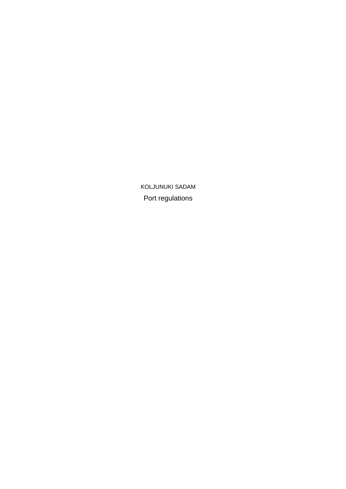Port regulations KOLJUNUKI SADAM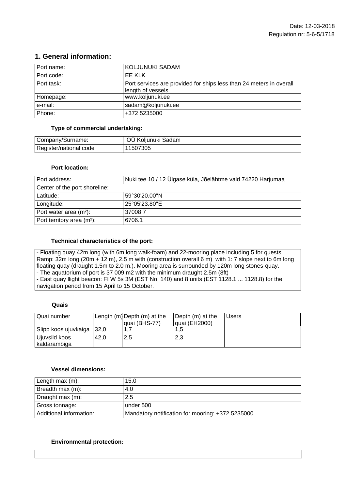# **1. General information:**

| Port name: | KOLJUNUKI SADAM                                                                          |
|------------|------------------------------------------------------------------------------------------|
| Port code: | EE KLK                                                                                   |
| Port task: | Port services are provided for ships less than 24 meters in overall<br>length of vessels |
| Homepage:  | www.koljunuki.ee                                                                         |
| e-mail:    | sadam@koljunuki.ee                                                                       |
| Phone:     | +372 5235000                                                                             |

## **Type of commercial undertaking:**

| Company/Surname:       | OÜ Koljunuki Sadam |
|------------------------|--------------------|
| Register/national code | 11507305           |

#### **Port location:**

| Port address:                      | Nuki tee 10 / 12 Ülgase küla, Jõelähtme vald 74220 Harjumaa |
|------------------------------------|-------------------------------------------------------------|
| Center of the port shoreline:      |                                                             |
| Latitude:                          | 59°30'20.00"N                                               |
| Longitude:                         | 25°05'23.80"E                                               |
| Port water area (m <sup>2</sup> ): | 37008.7                                                     |
| Port territory area $(m2)$ :       | 6706.1                                                      |

## **Technical characteristics of the port:**

- Floating quay 42m long (with 6m long walk-foam) and 22-mooring place including 5 for quests. Ramp: 32m long (20m + 12 m), 2.5 m with (construction overall 6 m) with 1: 7 slope next to 6m long floating quay (draught 1.5m to 2.0 m.). Mooring area is surrounded by 120m long stones-quay. - The aquatorium of port is 37 009 m2 with the minimum draught 2.5m (8ft)

- East quay llight beacon: FI W 5s 3M (EST No. 140) and 8 units (EST 1128.1 ... 1128.8) for the navigation period from 15 April to 15 October.

## **Quais**

| l Quai number               |      | Length (m) Depth (m) at the | Depth (m) at the | <b>Users</b> |
|-----------------------------|------|-----------------------------|------------------|--------------|
|                             |      | quai (BHS-77)               | quai (EH2000)    |              |
| Slipp koos ujuvkaiga   32,0 |      |                             |                  |              |
| Ujuvsild koos               | 42.0 | 2,5                         | 2,3              |              |
| kaldarambiga                |      |                             |                  |              |

#### **Vessel dimensions:**

| Length max (m):         | 15.0                                             |
|-------------------------|--------------------------------------------------|
| Breadth max (m):        | 4.0                                              |
| Draught max (m):        | 2.5                                              |
| Gross tonnage:          | under 500                                        |
| Additional information: | Mandatory notification for mooring: +372 5235000 |

## **Environmental protection:**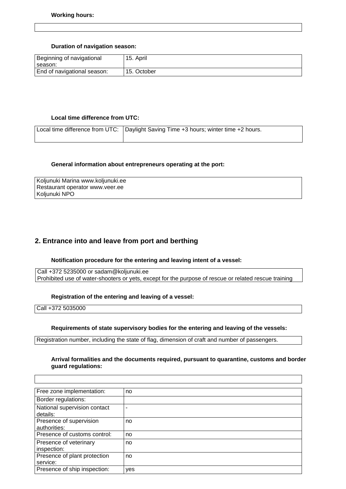#### **Duration of navigation season:**

| Beginning of navigational<br>±season: | 15. April   |
|---------------------------------------|-------------|
| End of navigational season:           | 15. October |

#### **Local time difference from UTC:**

| Local time difference from UTC: Daylight Saving Time +3 hours; winter time +2 hours. |
|--------------------------------------------------------------------------------------|
|                                                                                      |

#### **General information about entrepreneurs operating at the port:**

| Koljunuki Marina www.koljunuki.ee |
|-----------------------------------|
| Restaurant operator www.veer.ee   |
| Koljunuki NPO                     |

## **2. Entrance into and leave from port and berthing**

#### **Notification procedure for the entering and leaving intent of a vessel:**

Call +372 5235000 or sadam@koljunuki.ee Prohibited use of water-shooters or yets, except for the purpose of rescue or related rescue training

#### **Registration of the entering and leaving of a vessel:**

Call +372 5035000

 $\overline{1}$ 

#### **Requirements of state supervisory bodies for the entering and leaving of the vessels:**

Registration number, including the state of flag, dimension of craft and number of passengers.

#### **Arrival formalities and the documents required, pursuant to quarantine, customs and border guard regulations:**

| Free zone implementation:                | no  |
|------------------------------------------|-----|
| Border regulations:                      |     |
| National supervision contact<br>details: | ۰   |
| Presence of supervision<br>authorities:  | no  |
| Presence of customs control:             | no  |
| Presence of veterinary<br>inspection:    | no  |
| Presence of plant protection<br>service: | no  |
| Presence of ship inspection:             | yes |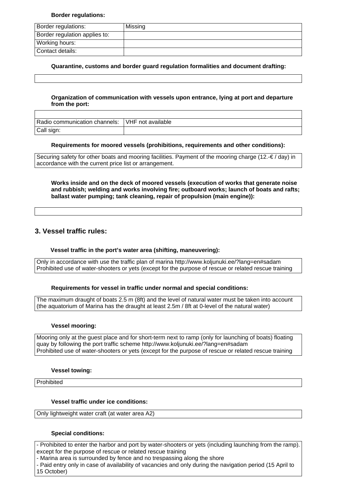#### **Border regulations:**

| Border regulations:           | Missing |
|-------------------------------|---------|
| Border regulation applies to: |         |
| Working hours:                |         |
| Contact details:              |         |

**Quarantine, customs and border guard regulation formalities and document drafting:**

#### **Organization of communication with vessels upon entrance, lying at port and departure from the port:**

| Radio communication channels: | VHF not available |
|-------------------------------|-------------------|
| Call sign:                    |                   |

#### **Requirements for moored vessels (prohibitions, requirements and other conditions):**

Securing safety for other boats and mooring facilities. Payment of the mooring charge (12. $\epsilon / d$ ay) in accordance with the current price list or arrangement.

**Works inside and on the deck of moored vessels (execution of works that generate noise and rubbish; welding and works involving fire; outboard works; launch of boats and rafts; ballast water pumping; tank cleaning, repair of propulsion (main engine)):**

## **3. Vessel traffic rules:**

## **Vessel traffic in the port's water area (shifting, maneuvering):**

Only in accordance with use the traffic plan of marina http://www.koljunuki.ee/?lang=en#sadam Prohibited use of water-shooters or yets (except for the purpose of rescue or related rescue training

## **Requirements for vessel in traffic under normal and special conditions:**

The maximum draught of boats 2.5 m (8ft) and the level of natural water must be taken into account (the aquatorium of Marina has the draught at least 2.5m / 8ft at 0-level of the natural water)

#### **Vessel mooring:**

Mooring only at the guest place and for short-term next to ramp (only for launching of boats) floating quay by following the port traffic scheme http://www.koljunuki.ee/?lang=en#sadam Prohibited use of water-shooters or yets (except for the purpose of rescue or related rescue training

#### **Vessel towing:**

**Prohibited** 

## **Vessel traffic under ice conditions:**

Only lightweight water craft (at water area A2)

## **Special conditions:**

- Prohibited to enter the harbor and port by water-shooters or yets (including launching from the ramp). except for the purpose of rescue or related rescue training

- Marina area is surrounded by fence and no trespassing along the shore

- Paid entry only in case of availability of vacancies and only during the navigation period (15 April to 15 October)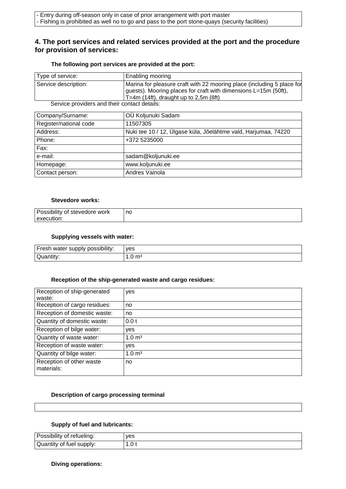## **4. The port services and related services provided at the port and the procedure for provision of services:**

#### **The following port services are provided at the port:**

| Type of service:                             | Enabling mooring                                                                                                                                                                     |
|----------------------------------------------|--------------------------------------------------------------------------------------------------------------------------------------------------------------------------------------|
| Service description:                         | Marina for pleasure craft with 22 mooring place (including 5 place for<br>guests). Mooring places for craft with dimensions L=15m (50ft),<br>$T=4m$ (14ft), draught up to 2,5m (8ft) |
| Service providers and their contact details: |                                                                                                                                                                                      |

Service providers and their contact details:

| Company/Surname:       | OÜ Koljunuki Sadam                                             |
|------------------------|----------------------------------------------------------------|
| Register/national code | 11507305                                                       |
| Address:               | Nuki tee 10 / 12, Ülgase küla, Jõelähtme vald, Harjumaa, 74220 |
| Phone:                 | +372 5235000                                                   |
| Fax:                   |                                                                |
| e-mail:                | sadam@koljunuki.ee                                             |
| Homepage:              | www.koljunuki.ee                                               |
| Contact person:        | Andres Vainola                                                 |

### **Stevedore works:**

| Possibility of stevedore work | no |
|-------------------------------|----|
| l execution:                  |    |

#### **Supplying vessels with water:**

| Fresh water supply possibility: | ves |
|---------------------------------|-----|
| Quantity:                       | m3  |

#### **Reception of the ship-generated waste and cargo residues:**

| Reception of ship-generated<br>waste:  | yes               |
|----------------------------------------|-------------------|
| Reception of cargo residues:           | no                |
| Reception of domestic waste:           | no                |
| Quantity of domestic waste:            | 0.0 t             |
| Reception of bilge water:              | yes               |
| Quantity of waste water:               | $1.0 \text{ m}^3$ |
| Reception of waste water:              | yes               |
| Quantity of bilge water:               | $1.0 \text{ m}^3$ |
| Reception of other waste<br>materials: | no                |

#### **Description of cargo processing terminal**

#### **Supply of fuel and lubricants:**

| Possibility of refueling: | ves  |
|---------------------------|------|
| Quantity of fuel supply:  | .ບ ເ |

#### **Diving operations:**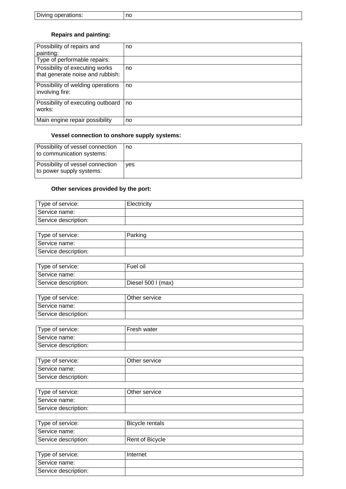| Diving operations: | ng |
|--------------------|----|
|--------------------|----|

# **Repairs and painting:**

| Possibility of repairs and                                         | no |
|--------------------------------------------------------------------|----|
| painting:                                                          |    |
| Type of performable repairs:                                       |    |
| Possibility of executing works<br>that generate noise and rubbish: | no |
| Possibility of welding operations<br>involving fire:               | no |
| Possibility of executing outboard<br>works:                        | no |
| Main engine repair possibility                                     | no |

# **Vessel connection to onshore supply systems:**

| Possibility of vessel connection<br>to communication systems: | no  |
|---------------------------------------------------------------|-----|
| Possibility of vessel connection<br>to power supply systems:  | ves |

# **Other services provided by the port:**

| Type of service:     | Electricity |
|----------------------|-------------|
| Service name:        |             |
| Service description: |             |

| Type of service:     | Parking |
|----------------------|---------|
| Service name:        |         |
| Service description: |         |

| Type of service:     | Fuel oil           |
|----------------------|--------------------|
| l Service name:      |                    |
| Service description: | Diesel 500 I (max) |

| Type of service:     | Other service |
|----------------------|---------------|
| Service name:        |               |
| Service description: |               |

| Type of service:     | Fresh water |
|----------------------|-------------|
| Service name:        |             |
| Service description: |             |

| Type of service:     | Other service |
|----------------------|---------------|
| Service name:        |               |
| Service description: |               |

| Type of service:     | Other service |
|----------------------|---------------|
| l Service name:      |               |
| Service description: |               |

| Type of service:     | <b>Bicycle rentals</b> |
|----------------------|------------------------|
| Service name:        |                        |
| Service description: | Rent of Bicycle        |
|                      |                        |
| Type of service:     | Internet               |
| Service name:        |                        |
| Service description: |                        |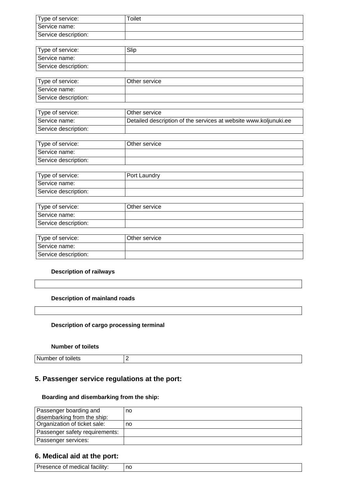| Type of service:     | Toilet |
|----------------------|--------|
| Service name:        |        |
| Service description: |        |
|                      |        |

| Type of service:     | Slip |
|----------------------|------|
| Service name:        |      |
| Service description: |      |

| Type of service:     | Other service |
|----------------------|---------------|
| Service name:        |               |
| Service description: |               |

| Type of service:     | Other service                                                    |
|----------------------|------------------------------------------------------------------|
| Service name:        | Detailed description of the services at website www.koljunuki.ee |
| Service description: |                                                                  |

| Type of service:     | Other service |
|----------------------|---------------|
| Service name:        |               |
| Service description: |               |

| Type of service:     | Port Laundry |
|----------------------|--------------|
| Service name:        |              |
| Service description: |              |

| Type of service:     | Other service |
|----------------------|---------------|
| l Service name:      |               |
| Service description: |               |

| Type of service:     | Other service |
|----------------------|---------------|
| l Service name:      |               |
| Service description: |               |

## **Description of railways**

| Description of mainland roads |  |  |  |
|-------------------------------|--|--|--|
|-------------------------------|--|--|--|

## **Description of cargo processing terminal**

## **Number of toilets**

Number of toilets 2

# **5. Passenger service regulations at the port:**

## **Boarding and disembarking from the ship:**

| Passenger boarding and         | no |
|--------------------------------|----|
| disembarking from the ship:    |    |
| Organization of ticket sale:   | no |
| Passenger safety requirements: |    |
| Passenger services:            |    |

# **6. Medical aid at the port:**

| $\overline{\phantom{a}}$<br>.<br>.<br>_ |  |
|-----------------------------------------|--|
|-----------------------------------------|--|